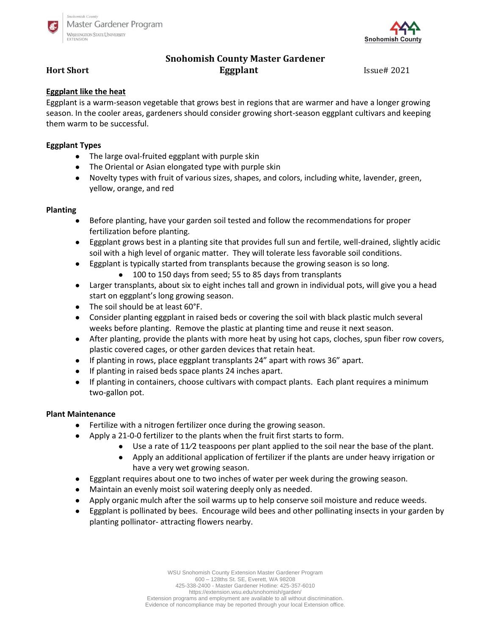



# **Snohomish County Master Gardener Hort Short Eggplant Eggplant** Issue# 2021

# **Eggplant like the heat**

Eggplant is a warm-season vegetable that grows best in regions that are warmer and have a longer growing season. In the cooler areas, gardeners should consider growing short-season eggplant cultivars and keeping them warm to be successful.

# **Eggplant Types**

- The large oval-fruited eggplant with purple skin
- The Oriental or Asian elongated type with purple skin
- Novelty types with fruit of various sizes, shapes, and colors, including white, lavender, green, yellow, orange, and red

### **Planting**

- Before planting, have your garden soil tested and follow the recommendations for proper fertilization before planting.
- Eggplant grows best in a planting site that provides full sun and fertile, well-drained, slightly acidic soil with a high level of organic matter. They will tolerate less favorable soil conditions.
- Eggplant is typically started from transplants because the growing season is so long. ● 100 to 150 days from seed; 55 to 85 days from transplants
- Larger transplants, about six to eight inches tall and grown in individual pots, will give you a head start on eggplant's long growing season.
- The soil should be at least 60°F.
- Consider planting eggplant in raised beds or covering the soil with black plastic mulch several weeks before planting. Remove the plastic at planting time and reuse it next season.
- After planting, provide the plants with more heat by using hot caps, cloches, spun fiber row covers, plastic covered cages, or other garden devices that retain heat.
- If planting in rows, place eggplant transplants 24" apart with rows 36" apart.
- If planting in raised beds space plants 24 inches apart.
- If planting in containers, choose cultivars with compact plants. Each plant requires a minimum two-gallon pot.

### **Plant Maintenance**

- Fertilize with a nitrogen fertilizer once during the growing season.
- Apply a 21-0-0 fertilizer to the plants when the fruit first starts to form.
	- $\bullet$  Use a rate of 11/2 teaspoons per plant applied to the soil near the base of the plant.
	- Apply an additional application of fertilizer if the plants are under heavy irrigation or have a very wet growing season.
- Eggplant requires about one to two inches of water per week during the growing season.
- Maintain an evenly moist soil watering deeply only as needed.
- Apply organic mulch after the soil warms up to help conserve soil moisture and reduce weeds.
- Eggplant is pollinated by bees. Encourage wild bees and other pollinating insects in your garden by planting pollinator- attracting flowers nearby.